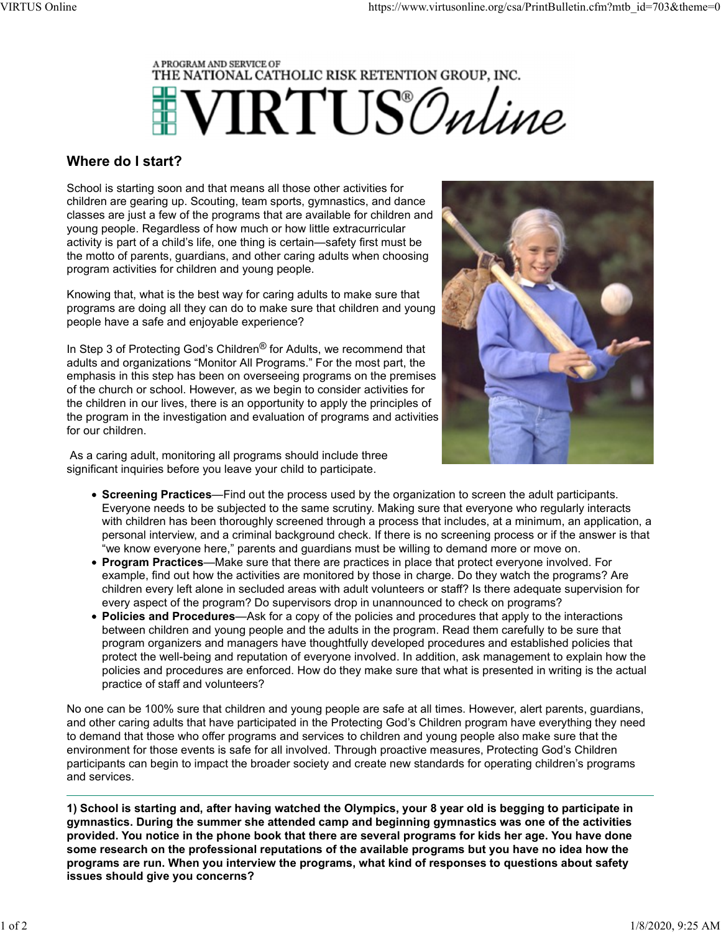

## Where do I start?

School is starting soon and that means all those other activities for children are gearing up. Scouting, team sports, gymnastics, and dance classes are just a few of the programs that are available for children and young people. Regardless of how much or how little extracurricular activity is part of a child's life, one thing is certain—safety first must be the motto of parents, guardians, and other caring adults when choosing program activities for children and young people.

Knowing that, what is the best way for caring adults to make sure that programs are doing all they can do to make sure that children and young people have a safe and enjoyable experience?

In Step 3 of Protecting God's Children<sup>®</sup> for Adults, we recommend that adults and organizations "Monitor All Programs." For the most part, the emphasis in this step has been on overseeing programs on the premises of the church or school. However, as we begin to consider activities for the children in our lives, there is an opportunity to apply the principles of the program in the investigation and evaluation of programs and activities for our children.

 As a caring adult, monitoring all programs should include three significant inquiries before you leave your child to participate.



- Screening Practices—Find out the process used by the organization to screen the adult participants. Everyone needs to be subjected to the same scrutiny. Making sure that everyone who regularly interacts with children has been thoroughly screened through a process that includes, at a minimum, an application, a personal interview, and a criminal background check. If there is no screening process or if the answer is that "we know everyone here," parents and guardians must be willing to demand more or move on.
- Program Practices—Make sure that there are practices in place that protect everyone involved. For example, find out how the activities are monitored by those in charge. Do they watch the programs? Are children every left alone in secluded areas with adult volunteers or staff? Is there adequate supervision for every aspect of the program? Do supervisors drop in unannounced to check on programs?
- Policies and Procedures—Ask for a copy of the policies and procedures that apply to the interactions between children and young people and the adults in the program. Read them carefully to be sure that program organizers and managers have thoughtfully developed procedures and established policies that protect the well-being and reputation of everyone involved. In addition, ask management to explain how the policies and procedures are enforced. How do they make sure that what is presented in writing is the actual practice of staff and volunteers?

No one can be 100% sure that children and young people are safe at all times. However, alert parents, guardians, and other caring adults that have participated in the Protecting God's Children program have everything they need to demand that those who offer programs and services to children and young people also make sure that the environment for those events is safe for all involved. Through proactive measures, Protecting God's Children participants can begin to impact the broader society and create new standards for operating children's programs and services.

1) School is starting and, after having watched the Olympics, your 8 year old is begging to participate in gymnastics. During the summer she attended camp and beginning gymnastics was one of the activities provided. You notice in the phone book that there are several programs for kids her age. You have done some research on the professional reputations of the available programs but you have no idea how the programs are run. When you interview the programs, what kind of responses to questions about safety issues should give you concerns?